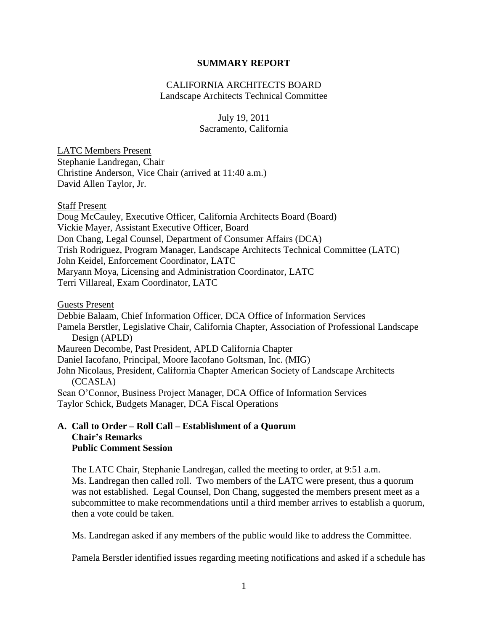#### **SUMMARY REPORT**

#### CALIFORNIA ARCHITECTS BOARD Landscape Architects Technical Committee

#### July 19, 2011 Sacramento, California

LATC Members Present Stephanie Landregan, Chair Christine Anderson, Vice Chair (arrived at 11:40 a.m.) David Allen Taylor, Jr.

Staff Present Doug McCauley, Executive Officer, California Architects Board (Board) Vickie Mayer, Assistant Executive Officer, Board Don Chang, Legal Counsel, Department of Consumer Affairs (DCA) Trish Rodriguez, Program Manager, Landscape Architects Technical Committee (LATC) John Keidel, Enforcement Coordinator, LATC Maryann Moya, Licensing and Administration Coordinator, LATC Terri Villareal, Exam Coordinator, LATC

Guests Present Debbie Balaam, Chief Information Officer, DCA Office of Information Services Pamela Berstler, Legislative Chair, California Chapter, Association of Professional Landscape Design (APLD) Maureen Decombe, Past President, APLD California Chapter Daniel Iacofano, Principal, Moore Iacofano Goltsman, Inc. (MIG) John Nicolaus, President, California Chapter American Society of Landscape Architects (CCASLA) Sean O'Connor, Business Project Manager, DCA Office of Information Services Taylor Schick, Budgets Manager, DCA Fiscal Operations

#### **A. Call to Order – Roll Call – Establishment of a Quorum Chair's Remarks Public Comment Session**

The LATC Chair, Stephanie Landregan, called the meeting to order, at 9:51 a.m. Ms. Landregan then called roll. Two members of the LATC were present, thus a quorum was not established. Legal Counsel, Don Chang, suggested the members present meet as a subcommittee to make recommendations until a third member arrives to establish a quorum, then a vote could be taken.

Ms. Landregan asked if any members of the public would like to address the Committee.

Pamela Berstler identified issues regarding meeting notifications and asked if a schedule has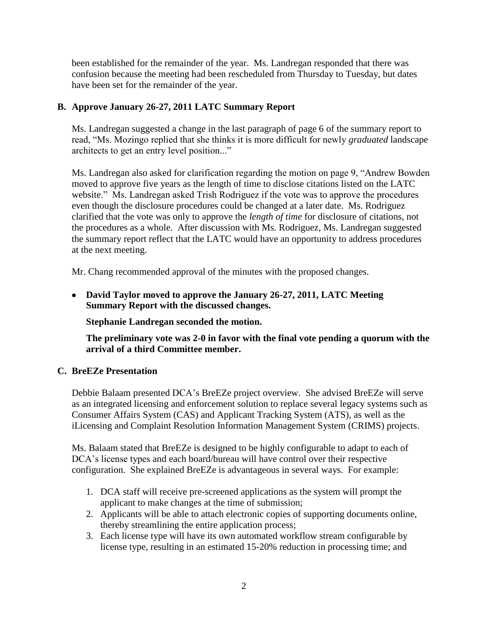been established for the remainder of the year. Ms. Landregan responded that there was confusion because the meeting had been rescheduled from Thursday to Tuesday, but dates have been set for the remainder of the year.

# **B. Approve January 26-27, 2011 LATC Summary Report**

Ms. Landregan suggested a change in the last paragraph of page 6 of the summary report to read, "Ms. Mozingo replied that she thinks it is more difficult for newly *graduated* landscape architects to get an entry level position..."

Ms. Landregan also asked for clarification regarding the motion on page 9, "Andrew Bowden moved to approve five years as the length of time to disclose citations listed on the LATC website." Ms. Landregan asked Trish Rodriguez if the vote was to approve the procedures even though the disclosure procedures could be changed at a later date. Ms. Rodriguez clarified that the vote was only to approve the *length of time* for disclosure of citations, not the procedures as a whole. After discussion with Ms. Rodriguez, Ms. Landregan suggested the summary report reflect that the LATC would have an opportunity to address procedures at the next meeting.

Mr. Chang recommended approval of the minutes with the proposed changes.

**David Taylor moved to approve the January 26-27, 2011, LATC Meeting Summary Report with the discussed changes.** 

**Stephanie Landregan seconded the motion.** 

**The preliminary vote was 2-0 in favor with the final vote pending a quorum with the arrival of a third Committee member.**

## **C. BreEZe Presentation**

Debbie Balaam presented DCA's BreEZe project overview. She advised BreEZe will serve as an integrated licensing and enforcement solution to replace several legacy systems such as Consumer Affairs System (CAS) and Applicant Tracking System (ATS), as well as the iLicensing and Complaint Resolution Information Management System (CRIMS) projects.

Ms. Balaam stated that BreEZe is designed to be highly configurable to adapt to each of DCA's license types and each board/bureau will have control over their respective configuration. She explained BreEZe is advantageous in several ways. For example:

- 1. DCA staff will receive pre-screened applications as the system will prompt the applicant to make changes at the time of submission;
- 2. Applicants will be able to attach electronic copies of supporting documents online, thereby streamlining the entire application process;
- 3. Each license type will have its own automated workflow stream configurable by license type, resulting in an estimated 15-20% reduction in processing time; and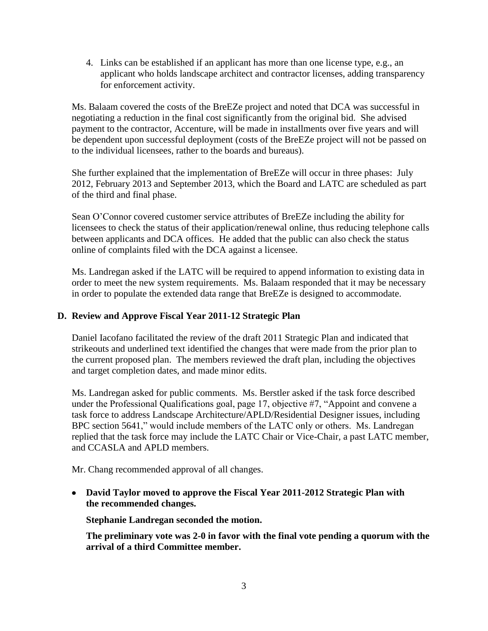4. Links can be established if an applicant has more than one license type, e.g., an applicant who holds landscape architect and contractor licenses, adding transparency for enforcement activity.

Ms. Balaam covered the costs of the BreEZe project and noted that DCA was successful in negotiating a reduction in the final cost significantly from the original bid. She advised payment to the contractor, Accenture, will be made in installments over five years and will be dependent upon successful deployment (costs of the BreEZe project will not be passed on to the individual licensees, rather to the boards and bureaus).

She further explained that the implementation of BreEZe will occur in three phases: July 2012, February 2013 and September 2013, which the Board and LATC are scheduled as part of the third and final phase.

Sean O'Connor covered customer service attributes of BreEZe including the ability for licensees to check the status of their application/renewal online, thus reducing telephone calls between applicants and DCA offices. He added that the public can also check the status online of complaints filed with the DCA against a licensee.

Ms. Landregan asked if the LATC will be required to append information to existing data in order to meet the new system requirements. Ms. Balaam responded that it may be necessary in order to populate the extended data range that BreEZe is designed to accommodate.

### **D. Review and Approve Fiscal Year 2011-12 Strategic Plan**

Daniel Iacofano facilitated the review of the draft 2011 Strategic Plan and indicated that strikeouts and underlined text identified the changes that were made from the prior plan to the current proposed plan. The members reviewed the draft plan, including the objectives and target completion dates, and made minor edits.

Ms. Landregan asked for public comments. Ms. Berstler asked if the task force described under the Professional Qualifications goal, page 17, objective #7, "Appoint and convene a task force to address Landscape Architecture/APLD/Residential Designer issues, including BPC section 5641," would include members of the LATC only or others. Ms. Landregan replied that the task force may include the LATC Chair or Vice-Chair, a past LATC member, and CCASLA and APLD members.

Mr. Chang recommended approval of all changes.

**David Taylor moved to approve the Fiscal Year 2011-2012 Strategic Plan with the recommended changes.** 

**Stephanie Landregan seconded the motion.** 

**The preliminary vote was 2-0 in favor with the final vote pending a quorum with the arrival of a third Committee member.**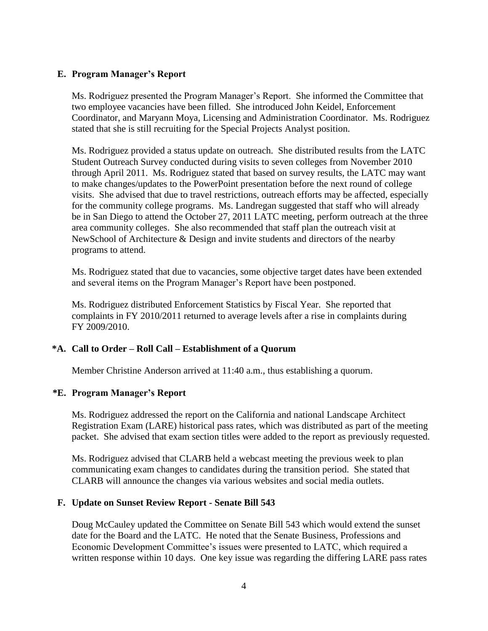#### **E. Program Manager's Report**

Ms. Rodriguez presented the Program Manager's Report. She informed the Committee that two employee vacancies have been filled. She introduced John Keidel, Enforcement Coordinator, and Maryann Moya, Licensing and Administration Coordinator. Ms. Rodriguez stated that she is still recruiting for the Special Projects Analyst position.

Ms. Rodriguez provided a status update on outreach. She distributed results from the LATC Student Outreach Survey conducted during visits to seven colleges from November 2010 through April 2011. Ms. Rodriguez stated that based on survey results, the LATC may want to make changes/updates to the PowerPoint presentation before the next round of college visits. She advised that due to travel restrictions, outreach efforts may be affected, especially for the community college programs. Ms. Landregan suggested that staff who will already be in San Diego to attend the October 27, 2011 LATC meeting, perform outreach at the three area community colleges. She also recommended that staff plan the outreach visit at NewSchool of Architecture & Design and invite students and directors of the nearby programs to attend.

Ms. Rodriguez stated that due to vacancies, some objective target dates have been extended and several items on the Program Manager's Report have been postponed.

Ms. Rodriguez distributed Enforcement Statistics by Fiscal Year. She reported that complaints in FY 2010/2011 returned to average levels after a rise in complaints during FY 2009/2010.

## **\*A. Call to Order – Roll Call – Establishment of a Quorum**

Member Christine Anderson arrived at 11:40 a.m., thus establishing a quorum.

#### **\*E. Program Manager's Report**

Ms. Rodriguez addressed the report on the California and national Landscape Architect Registration Exam (LARE) historical pass rates, which was distributed as part of the meeting packet. She advised that exam section titles were added to the report as previously requested.

Ms. Rodriguez advised that CLARB held a webcast meeting the previous week to plan communicating exam changes to candidates during the transition period. She stated that CLARB will announce the changes via various websites and social media outlets.

#### **F. Update on Sunset Review Report - Senate Bill 543**

Doug McCauley updated the Committee on Senate Bill 543 which would extend the sunset date for the Board and the LATC. He noted that the Senate Business, Professions and Economic Development Committee's issues were presented to LATC, which required a written response within 10 days. One key issue was regarding the differing LARE pass rates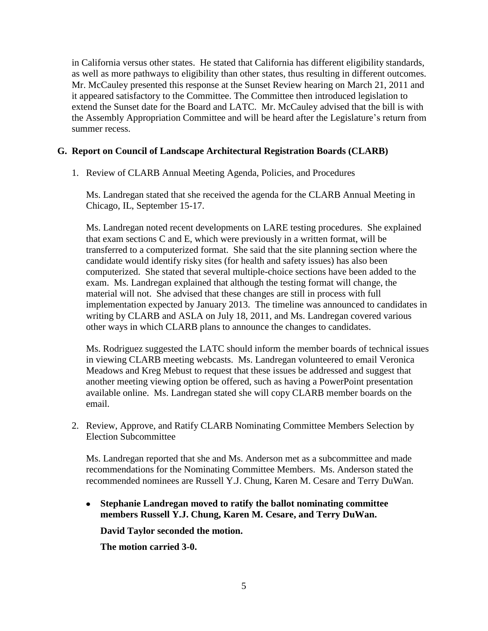in California versus other states. He stated that California has different eligibility standards, as well as more pathways to eligibility than other states, thus resulting in different outcomes. Mr. McCauley presented this response at the Sunset Review hearing on March 21, 2011 and it appeared satisfactory to the Committee. The Committee then introduced legislation to extend the Sunset date for the Board and LATC. Mr. McCauley advised that the bill is with the Assembly Appropriation Committee and will be heard after the Legislature's return from summer recess.

## **G. Report on Council of Landscape Architectural Registration Boards (CLARB)**

1. Review of CLARB Annual Meeting Agenda, Policies, and Procedures

Ms. Landregan stated that she received the agenda for the CLARB Annual Meeting in Chicago, IL, September 15-17.

Ms. Landregan noted recent developments on LARE testing procedures. She explained that exam sections C and E, which were previously in a written format, will be transferred to a computerized format. She said that the site planning section where the candidate would identify risky sites (for health and safety issues) has also been computerized. She stated that several multiple-choice sections have been added to the exam. Ms. Landregan explained that although the testing format will change, the material will not. She advised that these changes are still in process with full implementation expected by January 2013. The timeline was announced to candidates in writing by CLARB and ASLA on July 18, 2011, and Ms. Landregan covered various other ways in which CLARB plans to announce the changes to candidates.

Ms. Rodriguez suggested the LATC should inform the member boards of technical issues in viewing CLARB meeting webcasts. Ms. Landregan volunteered to email Veronica Meadows and Kreg Mebust to request that these issues be addressed and suggest that another meeting viewing option be offered, such as having a PowerPoint presentation available online. Ms. Landregan stated she will copy CLARB member boards on the email.

2. Review, Approve, and Ratify CLARB Nominating Committee Members Selection by Election Subcommittee

Ms. Landregan reported that she and Ms. Anderson met as a subcommittee and made recommendations for the Nominating Committee Members. Ms. Anderson stated the recommended nominees are Russell Y.J. Chung, Karen M. Cesare and Terry DuWan.

**Stephanie Landregan moved to ratify the ballot nominating committee**   $\bullet$ **members Russell Y.J. Chung, Karen M. Cesare, and Terry DuWan.**

**David Taylor seconded the motion.** 

**The motion carried 3-0.**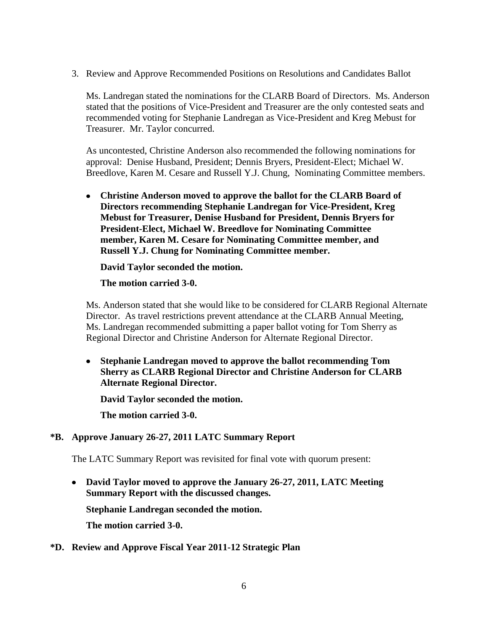3. Review and Approve Recommended Positions on Resolutions and Candidates Ballot

Ms. Landregan stated the nominations for the CLARB Board of Directors. Ms. Anderson stated that the positions of Vice-President and Treasurer are the only contested seats and recommended voting for Stephanie Landregan as Vice-President and Kreg Mebust for Treasurer. Mr. Taylor concurred.

As uncontested, Christine Anderson also recommended the following nominations for approval: Denise Husband, President; Dennis Bryers, President-Elect; Michael W. Breedlove, Karen M. Cesare and Russell Y.J. Chung, Nominating Committee members.

**Christine Anderson moved to approve the ballot for the CLARB Board of Directors recommending Stephanie Landregan for Vice-President, Kreg Mebust for Treasurer, Denise Husband for President, Dennis Bryers for President-Elect, Michael W. Breedlove for Nominating Committee member, Karen M. Cesare for Nominating Committee member, and Russell Y.J. Chung for Nominating Committee member.** 

**David Taylor seconded the motion.** 

**The motion carried 3-0.**

Ms. Anderson stated that she would like to be considered for CLARB Regional Alternate Director. As travel restrictions prevent attendance at the CLARB Annual Meeting, Ms. Landregan recommended submitting a paper ballot voting for Tom Sherry as Regional Director and Christine Anderson for Alternate Regional Director.

**Stephanie Landregan moved to approve the ballot recommending Tom Sherry as CLARB Regional Director and Christine Anderson for CLARB Alternate Regional Director.** 

**David Taylor seconded the motion.** 

**The motion carried 3-0.**

#### **\*B. Approve January 26-27, 2011 LATC Summary Report**

The LATC Summary Report was revisited for final vote with quorum present:

**David Taylor moved to approve the January 26-27, 2011, LATC Meeting Summary Report with the discussed changes.** 

**Stephanie Landregan seconded the motion.** 

**The motion carried 3-0.**

#### **\*D. Review and Approve Fiscal Year 2011-12 Strategic Plan**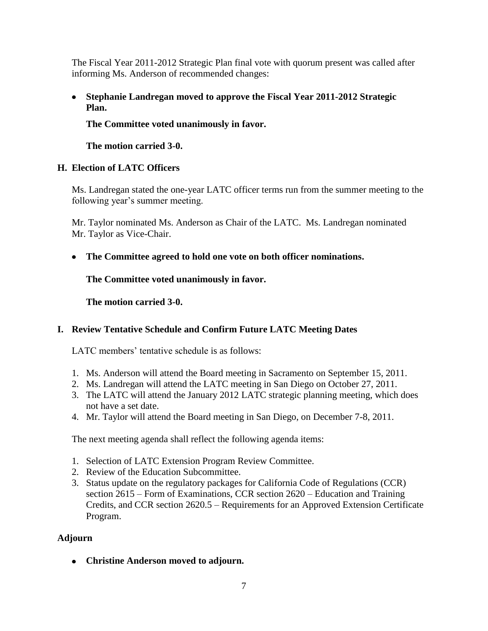The Fiscal Year 2011-2012 Strategic Plan final vote with quorum present was called after informing Ms. Anderson of recommended changes:

**Stephanie Landregan moved to approve the Fiscal Year 2011-2012 Strategic Plan.** 

**The Committee voted unanimously in favor.**

**The motion carried 3-0.**

# **H. Election of LATC Officers**

Ms. Landregan stated the one-year LATC officer terms run from the summer meeting to the following year's summer meeting.

Mr. Taylor nominated Ms. Anderson as Chair of the LATC. Ms. Landregan nominated Mr. Taylor as Vice-Chair.

**The Committee agreed to hold one vote on both officer nominations.**

**The Committee voted unanimously in favor.**

**The motion carried 3-0.**

# **I. Review Tentative Schedule and Confirm Future LATC Meeting Dates**

LATC members' tentative schedule is as follows:

- 1. Ms. Anderson will attend the Board meeting in Sacramento on September 15, 2011.
- 2. Ms. Landregan will attend the LATC meeting in San Diego on October 27, 2011.
- 3. The LATC will attend the January 2012 LATC strategic planning meeting, which does not have a set date.
- 4. Mr. Taylor will attend the Board meeting in San Diego, on December 7-8, 2011.

The next meeting agenda shall reflect the following agenda items:

- 1. Selection of LATC Extension Program Review Committee.
- 2. Review of the Education Subcommittee.
- 3. Status update on the regulatory packages for California Code of Regulations (CCR) section 2615 – Form of Examinations, CCR section 2620 – Education and Training Credits, and CCR section 2620.5 – Requirements for an Approved Extension Certificate Program.

# **Adjourn**

**Christine Anderson moved to adjourn.**